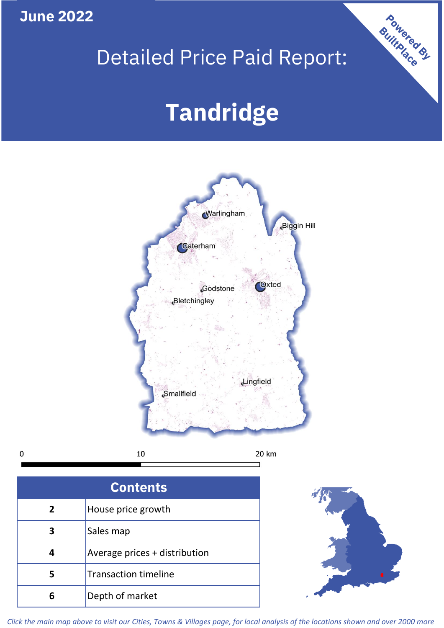# **June 2022**

# Detailed Price Paid Report:

# **Tandridge**



 $\mathbf 0$ 

 $10\,$ 

20 km

| <b>Contents</b> |                               |  |  |
|-----------------|-------------------------------|--|--|
| $\mathbf{2}$    | House price growth            |  |  |
| З               | Sales map                     |  |  |
|                 | Average prices + distribution |  |  |
| 5               | <b>Transaction timeline</b>   |  |  |
| 6               | Depth of market               |  |  |



Powered By

*Click the main map above to visit our Cities, Towns & Villages page, for local analysis of the locations shown and over 2000 more*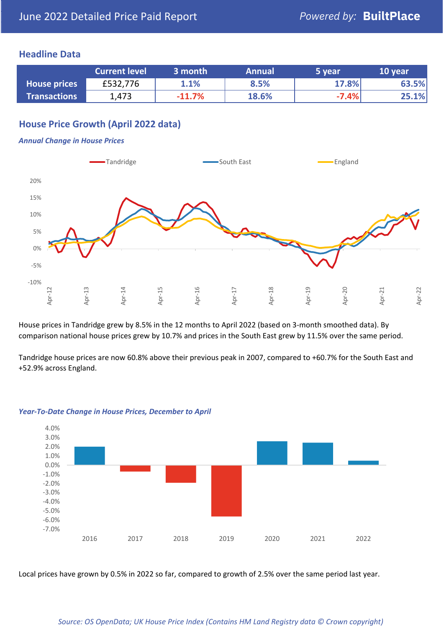## **Headline Data**

|                     | <b>Current level</b> | 3 month  | <b>Annual</b> | 5 year  | 10 year |
|---------------------|----------------------|----------|---------------|---------|---------|
| <b>House prices</b> | £532,776             | 1.1%     | 8.5%          | 17.8%   | 63.5%   |
| <b>Transactions</b> | 1,473                | $-11.7%$ | 18.6%         | $-7.4%$ | 25.1%   |

# **House Price Growth (April 2022 data)**

### *Annual Change in House Prices*



House prices in Tandridge grew by 8.5% in the 12 months to April 2022 (based on 3-month smoothed data). By comparison national house prices grew by 10.7% and prices in the South East grew by 11.5% over the same period.

Tandridge house prices are now 60.8% above their previous peak in 2007, compared to +60.7% for the South East and +52.9% across England.



## *Year-To-Date Change in House Prices, December to April*

Local prices have grown by 0.5% in 2022 so far, compared to growth of 2.5% over the same period last year.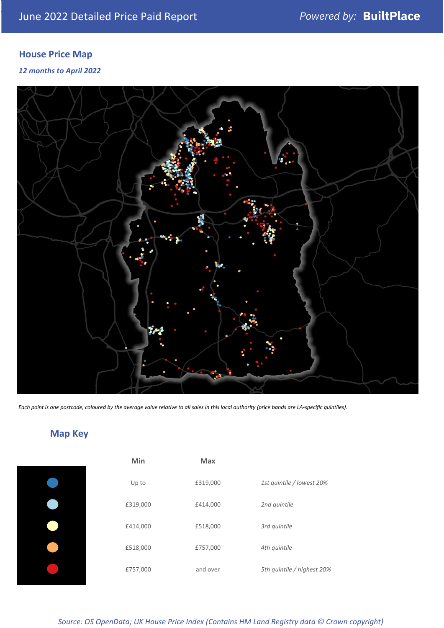# **House Price Map**

*12 months to April 2022*



*Each point is one postcode, coloured by the average value relative to all sales in this local authority (price bands are LA-specific quintiles).*

# **Map Key**

| Min      | <b>Max</b> |                            |
|----------|------------|----------------------------|
| Up to    | £319,000   | 1st quintile / lowest 20%  |
| £319,000 | £414,000   | 2nd quintile               |
| £414,000 | £518,000   | 3rd quintile               |
| £518,000 | £757,000   | 4th quintile               |
| £757,000 | and over   | 5th quintile / highest 20% |

*Source: OS OpenData; UK House Price Index (Contains HM Land Registry data © Crown copyright)*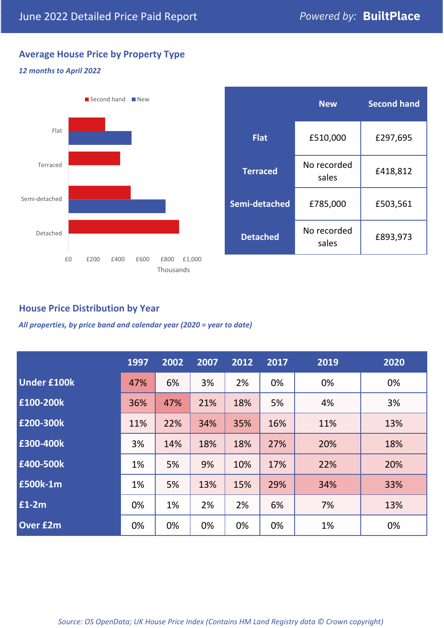# **Average House Price by Property Type**

## *12 months to April 2022*



|                 | <b>New</b>           | <b>Second hand</b> |  |  |
|-----------------|----------------------|--------------------|--|--|
| <b>Flat</b>     | £510,000             | £297,695           |  |  |
| <b>Terraced</b> | No recorded<br>sales | £418,812           |  |  |
| Semi-detached   | £785,000             | £503,561           |  |  |
| <b>Detached</b> | No recorded<br>sales | £893,973           |  |  |

## **House Price Distribution by Year**

*All properties, by price band and calendar year (2020 = year to date)*

|                    | 1997 | 2002 | 2007 | 2012 | 2017 | 2019 | 2020 |
|--------------------|------|------|------|------|------|------|------|
| <b>Under £100k</b> | 47%  | 6%   | 3%   | 2%   | 0%   | 0%   | 0%   |
| £100-200k          | 36%  | 47%  | 21%  | 18%  | 5%   | 4%   | 3%   |
| E200-300k          | 11%  | 22%  | 34%  | 35%  | 16%  | 11%  | 13%  |
| £300-400k          | 3%   | 14%  | 18%  | 18%  | 27%  | 20%  | 18%  |
| £400-500k          | 1%   | 5%   | 9%   | 10%  | 17%  | 22%  | 20%  |
| <b>£500k-1m</b>    | 1%   | 5%   | 13%  | 15%  | 29%  | 34%  | 33%  |
| £1-2m              | 0%   | 1%   | 2%   | 2%   | 6%   | 7%   | 13%  |
| <b>Over £2m</b>    | 0%   | 0%   | 0%   | 0%   | 0%   | 1%   | 0%   |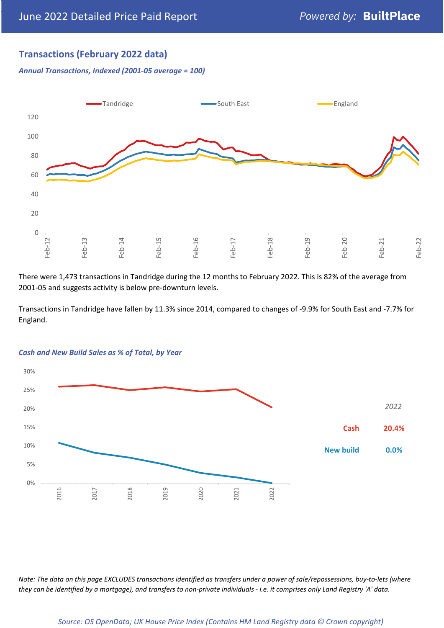## **Transactions (February 2022 data)**

*Annual Transactions, Indexed (2001-05 average = 100)*



There were 1,473 transactions in Tandridge during the 12 months to February 2022. This is 82% of the average from 2001-05 and suggests activity is below pre-downturn levels.

Transactions in Tandridge have fallen by 11.3% since 2014, compared to changes of -9.9% for South East and -7.7% for England.



#### *Cash and New Build Sales as % of Total, by Year*

*Note: The data on this page EXCLUDES transactions identified as transfers under a power of sale/repossessions, buy-to-lets (where they can be identified by a mortgage), and transfers to non-private individuals - i.e. it comprises only Land Registry 'A' data.*